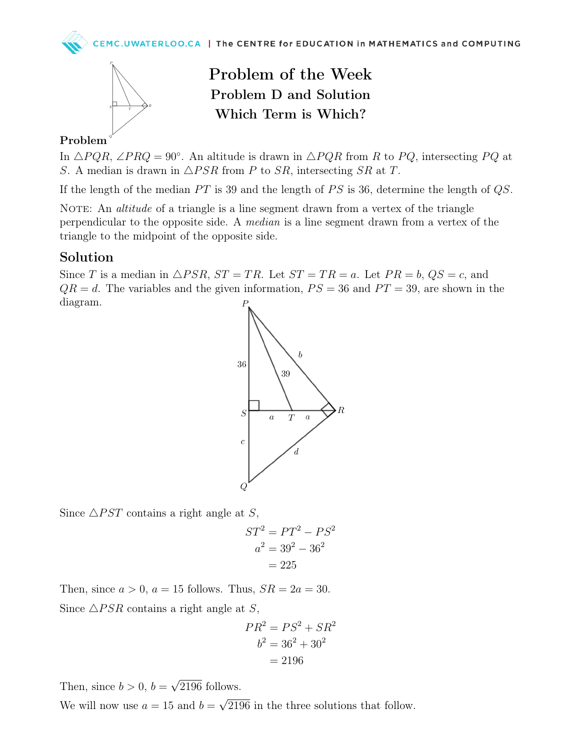

## Problem of the Week Problem D and Solution Which Term is Which?

#### Problem

In  $\triangle PQR$ , ∠PRQ = 90°. An altitude is drawn in  $\triangle PQR$  from R to PQ, intersecting PQ at S. A median is drawn in  $\triangle PSR$  from P to SR, intersecting SR at T.

If the length of the median  $PT$  is 39 and the length of  $PS$  is 36, determine the length of  $QS$ .

NOTE: An *altitude* of a triangle is a line segment drawn from a vertex of the triangle perpendicular to the opposite side. A median is a line segment drawn from a vertex of the triangle to the midpoint of the opposite side.

### Solution

Since T is a median in  $\triangle PSR$ ,  $ST = TR$ . Let  $ST = TR = a$ . Let  $PR = b$ ,  $QS = c$ , and  $QR = d$ . The variables and the given information,  $PS = 36$  and  $PT = 39$ , are shown in the diagram.



Since  $\triangle$ *PST* contains a right angle at S,

$$
ST2 = PT2 - PS2
$$

$$
a2 = 392 - 362
$$

$$
= 225
$$

Then, since  $a > 0$ ,  $a = 15$  follows. Thus,  $SR = 2a = 30$ . Since  $\triangle PSR$  contains a right angle at S,

$$
PR2 = PS2 + SR2
$$

$$
b2 = 362 + 302
$$

$$
= 2196
$$

Then, since  $b > 0$ ,  $b =$ √ 2196 follows.

We will now use  $a = 15$  and  $b =$ √ 2196 in the three solutions that follow.